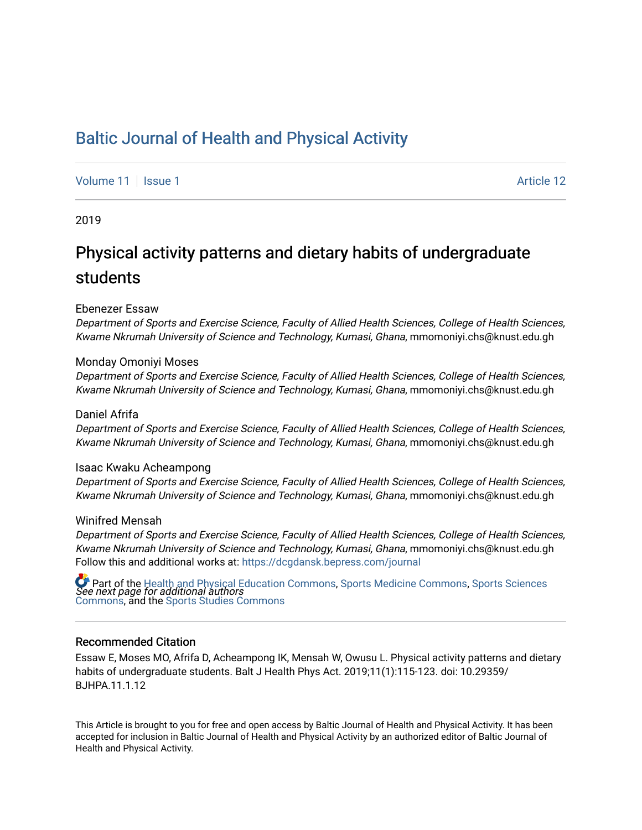# [Baltic Journal of Health and Physical Activity](https://dcgdansk.bepress.com/journal)

[Volume 11](https://dcgdansk.bepress.com/journal/vol11) | [Issue 1](https://dcgdansk.bepress.com/journal/vol11/iss1) Article 12

2019

# Physical activity patterns and dietary habits of undergraduate students

#### Ebenezer Essaw

Department of Sports and Exercise Science, Faculty of Allied Health Sciences, College of Health Sciences, Kwame Nkrumah University of Science and Technology, Kumasi, Ghana, mmomoniyi.chs@knust.edu.gh

#### Monday Omoniyi Moses

Department of Sports and Exercise Science, Faculty of Allied Health Sciences, College of Health Sciences, Kwame Nkrumah University of Science and Technology, Kumasi, Ghana, mmomoniyi.chs@knust.edu.gh

#### Daniel Afrifa

Department of Sports and Exercise Science, Faculty of Allied Health Sciences, College of Health Sciences, Kwame Nkrumah University of Science and Technology, Kumasi, Ghana, mmomoniyi.chs@knust.edu.gh

#### Isaac Kwaku Acheampong

Department of Sports and Exercise Science, Faculty of Allied Health Sciences, College of Health Sciences, Kwame Nkrumah University of Science and Technology, Kumasi, Ghana, mmomoniyi.chs@knust.edu.gh

#### Winifred Mensah

Department of Sports and Exercise Science, Faculty of Allied Health Sciences, College of Health Sciences, Kwame Nkrumah University of Science and Technology, Kumasi, Ghana, mmomoniyi.chs@knust.edu.gh Follow this and additional works at: [https://dcgdansk.bepress.com/journal](https://dcgdansk.bepress.com/journal?utm_source=dcgdansk.bepress.com%2Fjournal%2Fvol11%2Fiss1%2F12&utm_medium=PDF&utm_campaign=PDFCoverPages)

 $\bullet$  Part of the [Health and Physical Education Commons](http://network.bepress.com/hgg/discipline/1327?utm_source=dcgdansk.bepress.com%2Fjournal%2Fvol11%2Fiss1%2F12&utm_medium=PDF&utm_campaign=PDFCoverPages), [Sports Medicine Commons,](http://network.bepress.com/hgg/discipline/1331?utm_source=dcgdansk.bepress.com%2Fjournal%2Fvol11%2Fiss1%2F12&utm_medium=PDF&utm_campaign=PDFCoverPages) [Sports Sciences](http://network.bepress.com/hgg/discipline/759?utm_source=dcgdansk.bepress.com%2Fjournal%2Fvol11%2Fiss1%2F12&utm_medium=PDF&utm_campaign=PDFCoverPages)<br>*See next page for additional authors* [Commons](http://network.bepress.com/hgg/discipline/759?utm_source=dcgdansk.bepress.com%2Fjournal%2Fvol11%2Fiss1%2F12&utm_medium=PDF&utm_campaign=PDFCoverPages), and the [Sports Studies Commons](http://network.bepress.com/hgg/discipline/1198?utm_source=dcgdansk.bepress.com%2Fjournal%2Fvol11%2Fiss1%2F12&utm_medium=PDF&utm_campaign=PDFCoverPages) 

#### Recommended Citation

Essaw E, Moses MO, Afrifa D, Acheampong IK, Mensah W, Owusu L. Physical activity patterns and dietary habits of undergraduate students. Balt J Health Phys Act. 2019;11(1):115-123. doi: 10.29359/ BJHPA.11.1.12

This Article is brought to you for free and open access by Baltic Journal of Health and Physical Activity. It has been accepted for inclusion in Baltic Journal of Health and Physical Activity by an authorized editor of Baltic Journal of Health and Physical Activity.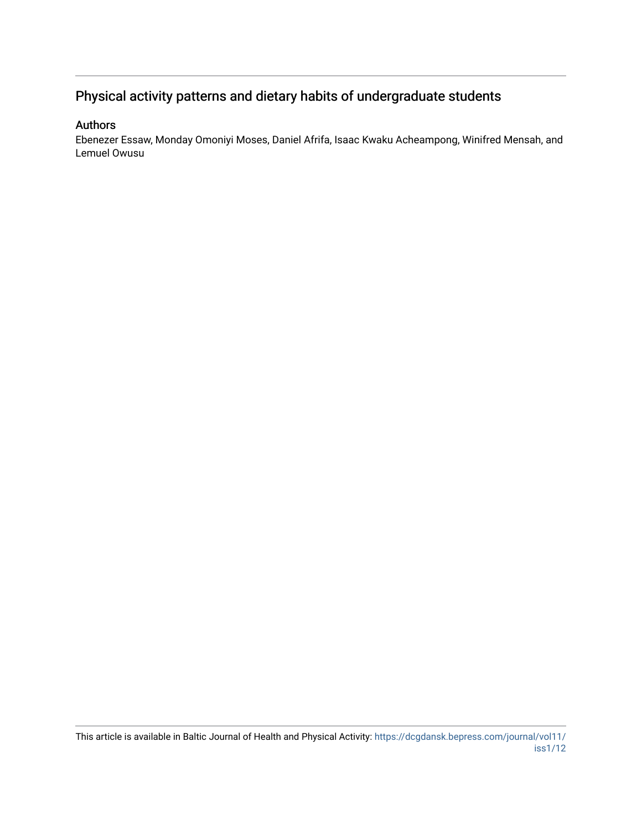## Physical activity patterns and dietary habits of undergraduate students

## Authors

Ebenezer Essaw, Monday Omoniyi Moses, Daniel Afrifa, Isaac Kwaku Acheampong, Winifred Mensah, and Lemuel Owusu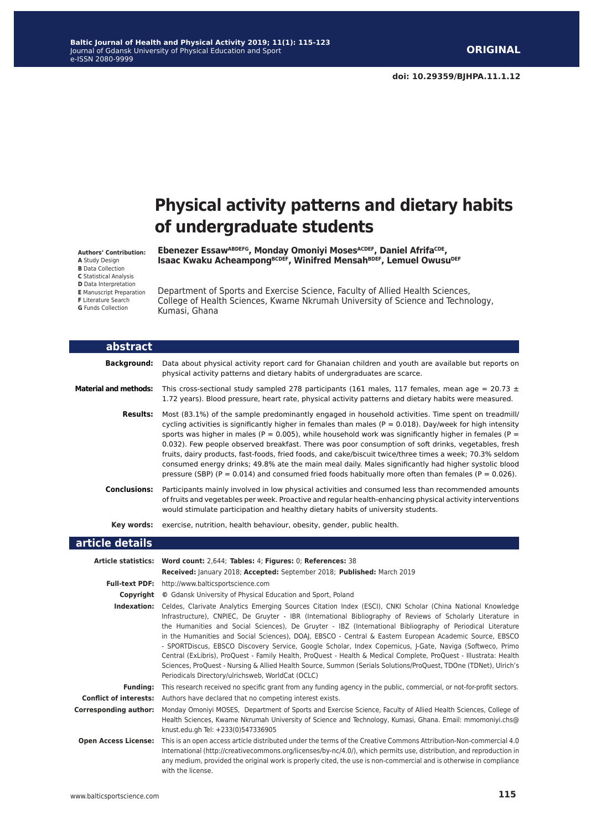# **Physical activity patterns and dietary habits of undergraduate students**

**Authors' Contribution:**

**A** Study Design

**B** Data Collection

**C** Statistical Analysis

**D** Data Interpretation

**E** Manuscript Preparation **F** Literature Search

**G** Funds Collection

**Ebenezer EssawABDEFG, Monday Omoniyi MosesACDEF, Daniel AfrifaCDE, Isaac Kwaku AcheampongBCDEF, Winifred MensahBDEF, Lemuel OwusuDEF**

Department of Sports and Exercise Science, Faculty of Allied Health Sciences, College of Health Sciences, Kwame Nkrumah University of Science and Technology, Kumasi, Ghana

| abstract                      |                                                                                                                                                                                                                                                                                                                                                                                                                                                                                                                                                                                                                                                                                                                                                                                                                                                               |
|-------------------------------|---------------------------------------------------------------------------------------------------------------------------------------------------------------------------------------------------------------------------------------------------------------------------------------------------------------------------------------------------------------------------------------------------------------------------------------------------------------------------------------------------------------------------------------------------------------------------------------------------------------------------------------------------------------------------------------------------------------------------------------------------------------------------------------------------------------------------------------------------------------|
| <b>Background:</b>            | Data about physical activity report card for Ghanaian children and youth are available but reports on<br>physical activity patterns and dietary habits of undergraduates are scarce.                                                                                                                                                                                                                                                                                                                                                                                                                                                                                                                                                                                                                                                                          |
| <b>Material and methods:</b>  | This cross-sectional study sampled 278 participants (161 males, 117 females, mean age = 20.73 $\pm$<br>1.72 years). Blood pressure, heart rate, physical activity patterns and dietary habits were measured.                                                                                                                                                                                                                                                                                                                                                                                                                                                                                                                                                                                                                                                  |
| <b>Results:</b>               | Most (83.1%) of the sample predominantly engaged in household activities. Time spent on treadmill/<br>cycling activities is significantly higher in females than males ( $P = 0.018$ ). Day/week for high intensity<br>sports was higher in males ( $P = 0.005$ ), while household work was significantly higher in females ( $P =$<br>0.032). Few people observed breakfast. There was poor consumption of soft drinks, vegetables, fresh<br>fruits, dairy products, fast-foods, fried foods, and cake/biscuit twice/three times a week; 70.3% seldom<br>consumed energy drinks; 49.8% ate the main meal daily. Males significantly had higher systolic blood<br>pressure (SBP) ( $P = 0.014$ ) and consumed fried foods habitually more often than females ( $P = 0.026$ ).                                                                                 |
| <b>Conclusions:</b>           | Participants mainly involved in low physical activities and consumed less than recommended amounts<br>of fruits and vegetables per week. Proactive and regular health-enhancing physical activity interventions<br>would stimulate participation and healthy dietary habits of university students.                                                                                                                                                                                                                                                                                                                                                                                                                                                                                                                                                           |
| Key words:                    | exercise, nutrition, health behaviour, obesity, gender, public health.                                                                                                                                                                                                                                                                                                                                                                                                                                                                                                                                                                                                                                                                                                                                                                                        |
| article details               |                                                                                                                                                                                                                                                                                                                                                                                                                                                                                                                                                                                                                                                                                                                                                                                                                                                               |
|                               | Article statistics: Word count: 2,644; Tables: 4; Figures: 0; References: 38                                                                                                                                                                                                                                                                                                                                                                                                                                                                                                                                                                                                                                                                                                                                                                                  |
|                               | Received: January 2018; Accepted: September 2018; Published: March 2019                                                                                                                                                                                                                                                                                                                                                                                                                                                                                                                                                                                                                                                                                                                                                                                       |
|                               | Full-text PDF: http://www.balticsportscience.com                                                                                                                                                                                                                                                                                                                                                                                                                                                                                                                                                                                                                                                                                                                                                                                                              |
| Copyright                     | © Gdansk University of Physical Education and Sport, Poland                                                                                                                                                                                                                                                                                                                                                                                                                                                                                                                                                                                                                                                                                                                                                                                                   |
| Indexation:                   | Celdes, Clarivate Analytics Emerging Sources Citation Index (ESCI), CNKI Scholar (China National Knowledge<br>Infrastructure), CNPIEC, De Gruyter - IBR (International Bibliography of Reviews of Scholarly Literature in<br>the Humanities and Social Sciences), De Gruyter - IBZ (International Bibliography of Periodical Literature<br>in the Humanities and Social Sciences), DOAJ, EBSCO - Central & Eastern European Academic Source, EBSCO<br>- SPORTDiscus, EBSCO Discovery Service, Google Scholar, Index Copernicus, J-Gate, Naviga (Softweco, Primo<br>Central (ExLibris), ProQuest - Family Health, ProQuest - Health & Medical Complete, ProQuest - Illustrata: Health<br>Sciences, ProQuest - Nursing & Allied Health Source, Summon (Serials Solutions/ProQuest, TDOne (TDNet), Ulrich's<br>Periodicals Directory/ulrichsweb, WorldCat (OCLC) |
| <b>Funding:</b>               | This research received no specific grant from any funding agency in the public, commercial, or not-for-profit sectors.                                                                                                                                                                                                                                                                                                                                                                                                                                                                                                                                                                                                                                                                                                                                        |
| <b>Conflict of interests:</b> | Authors have declared that no competing interest exists.                                                                                                                                                                                                                                                                                                                                                                                                                                                                                                                                                                                                                                                                                                                                                                                                      |
| <b>Corresponding author:</b>  | Monday Omoniyi MOSES, Department of Sports and Exercise Science, Faculty of Allied Health Sciences, College of<br>Health Sciences, Kwame Nkrumah University of Science and Technology, Kumasi, Ghana. Email: mmomoniyi.chs@<br>knust.edu.gh Tel: +233(0)547336905                                                                                                                                                                                                                                                                                                                                                                                                                                                                                                                                                                                             |
| <b>Open Access License:</b>   | This is an open access article distributed under the terms of the Creative Commons Attribution-Non-commercial 4.0<br>International (http://creativecommons.org/licenses/by-nc/4.0/), which permits use, distribution, and reproduction in<br>any medium, provided the original work is properly cited, the use is non-commercial and is otherwise in compliance<br>with the license.                                                                                                                                                                                                                                                                                                                                                                                                                                                                          |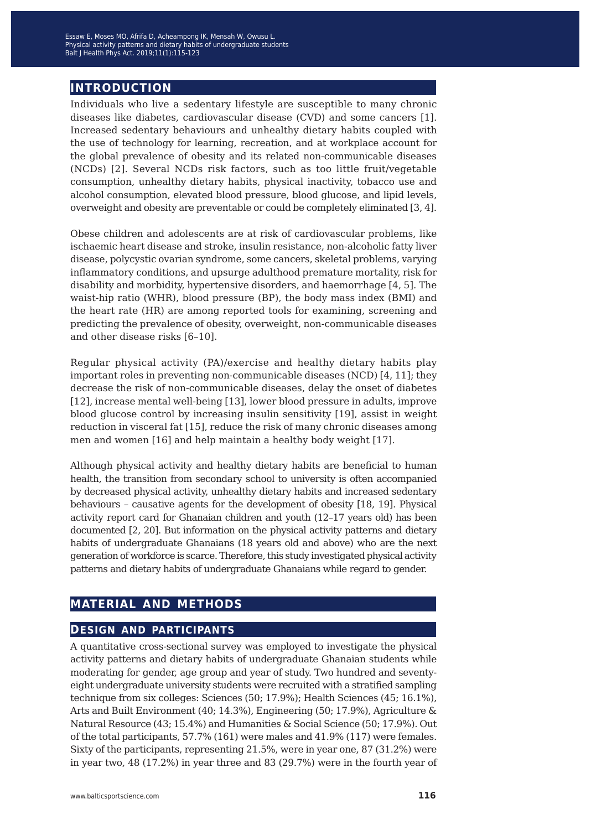## **introduction**

Individuals who live a sedentary lifestyle are susceptible to many chronic diseases like diabetes, cardiovascular disease (CVD) and some cancers [1]. Increased sedentary behaviours and unhealthy dietary habits coupled with the use of technology for learning, recreation, and at workplace account for the global prevalence of obesity and its related non-communicable diseases (NCDs) [2]. Several NCDs risk factors, such as too little fruit/vegetable consumption, unhealthy dietary habits, physical inactivity, tobacco use and alcohol consumption, elevated blood pressure, blood glucose, and lipid levels, overweight and obesity are preventable or could be completely eliminated [3, 4].

Obese children and adolescents are at risk of cardiovascular problems, like ischaemic heart disease and stroke, insulin resistance, non-alcoholic fatty liver disease, polycystic ovarian syndrome, some cancers, skeletal problems, varying inflammatory conditions, and upsurge adulthood premature mortality, risk for disability and morbidity, hypertensive disorders, and haemorrhage [4, 5]. The waist-hip ratio (WHR), blood pressure (BP), the body mass index (BMI) and the heart rate (HR) are among reported tools for examining, screening and predicting the prevalence of obesity, overweight, non-communicable diseases and other disease risks [6–10].

Regular physical activity (PA)/exercise and healthy dietary habits play important roles in preventing non-communicable diseases (NCD) [4, 11]; they decrease the risk of non-communicable diseases, delay the onset of diabetes [12], increase mental well-being [13], lower blood pressure in adults, improve blood glucose control by increasing insulin sensitivity [19], assist in weight reduction in visceral fat [15], reduce the risk of many chronic diseases among men and women [16] and help maintain a healthy body weight [17].

Although physical activity and healthy dietary habits are beneficial to human health, the transition from secondary school to university is often accompanied by decreased physical activity, unhealthy dietary habits and increased sedentary behaviours – causative agents for the development of obesity [18, 19]. Physical activity report card for Ghanaian children and youth (12–17 years old) has been documented [2, 20]. But information on the physical activity patterns and dietary habits of undergraduate Ghanaians (18 years old and above) who are the next generation of workforce is scarce. Therefore, this study investigated physical activity patterns and dietary habits of undergraduate Ghanaians while regard to gender.

## **material and methods**

## **design and participants**

A quantitative cross-sectional survey was employed to investigate the physical activity patterns and dietary habits of undergraduate Ghanaian students while moderating for gender, age group and year of study. Two hundred and seventyeight undergraduate university students were recruited with a stratified sampling technique from six colleges: Sciences (50; 17.9%); Health Sciences (45; 16.1%), Arts and Built Environment (40; 14.3%), Engineering (50; 17.9%), Agriculture & Natural Resource (43; 15.4%) and Humanities & Social Science (50; 17.9%). Out of the total participants, 57.7% (161) were males and 41.9% (117) were females. Sixty of the participants, representing 21.5%, were in year one, 87 (31.2%) were in year two, 48 (17.2%) in year three and 83 (29.7%) were in the fourth year of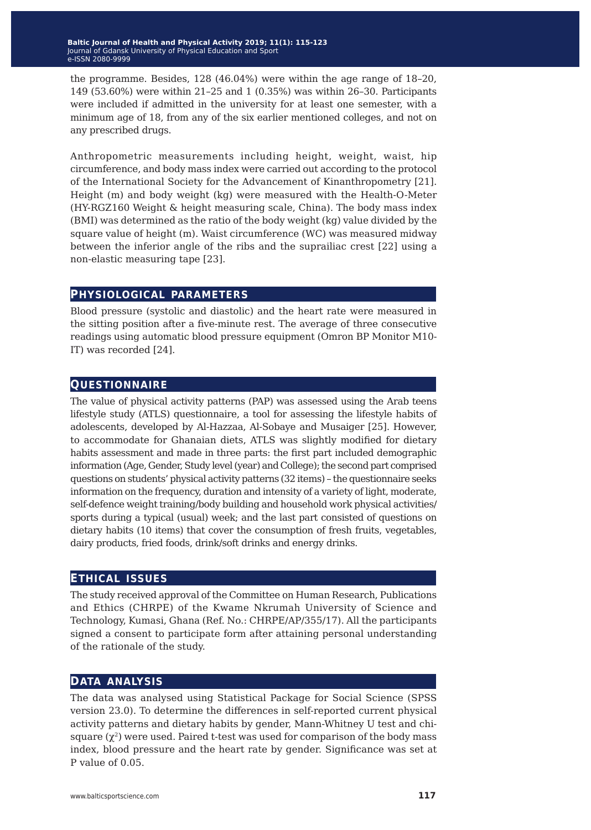the programme. Besides, 128 (46.04%) were within the age range of 18–20, 149 (53.60%) were within 21–25 and 1 (0.35%) was within 26–30. Participants were included if admitted in the university for at least one semester, with a minimum age of 18, from any of the six earlier mentioned colleges, and not on any prescribed drugs.

Anthropometric measurements including height, weight, waist, hip circumference, and body mass index were carried out according to the protocol of the International Society for the Advancement of Kinanthropometry [21]. Height (m) and body weight (kg) were measured with the Health-O-Meter (HY-RGZ160 Weight & height measuring scale, China). The body mass index (BMI) was determined as the ratio of the body weight (kg) value divided by the square value of height (m). Waist circumference (WC) was measured midway between the inferior angle of the ribs and the suprailiac crest [22] using a non-elastic measuring tape [23].

### **physiological parameters**

Blood pressure (systolic and diastolic) and the heart rate were measured in the sitting position after a five-minute rest. The average of three consecutive readings using automatic blood pressure equipment (Omron BP Monitor M10- IT) was recorded [24].

## **questionnaire**

The value of physical activity patterns (PAP) was assessed using the Arab teens lifestyle study (ATLS) questionnaire, a tool for assessing the lifestyle habits of adolescents, developed by Al-Hazzaa, Al-Sobaye and Musaiger [25]. However, to accommodate for Ghanaian diets, ATLS was slightly modified for dietary habits assessment and made in three parts: the first part included demographic information (Age, Gender, Study level (year) and College); the second part comprised questions on students' physical activity patterns (32 items) – the questionnaire seeks information on the frequency, duration and intensity of a variety of light, moderate, self-defence weight training/body building and household work physical activities/ sports during a typical (usual) week; and the last part consisted of questions on dietary habits (10 items) that cover the consumption of fresh fruits, vegetables, dairy products, fried foods, drink/soft drinks and energy drinks.

### **ethical issues**

The study received approval of the Committee on Human Research, Publications and Ethics (CHRPE) of the Kwame Nkrumah University of Science and Technology, Kumasi, Ghana (Ref. No.: CHRPE/AP/355/17). All the participants signed a consent to participate form after attaining personal understanding of the rationale of the study.

## **data analysis**

The data was analysed using Statistical Package for Social Science (SPSS version 23.0). To determine the differences in self-reported current physical activity patterns and dietary habits by gender, Mann-Whitney U test and chisquare  $(\chi^2)$  were used. Paired t-test was used for comparison of the body mass index, blood pressure and the heart rate by gender. Significance was set at P value of 0.05.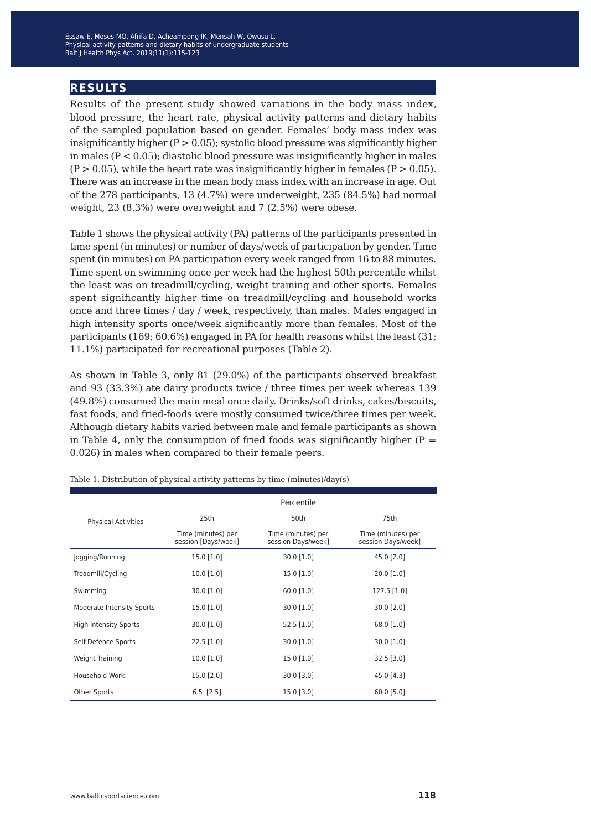Physical activity patterns and dietary habits of undergraduate students Blood Kennedy Palance and Society matrix of submaring submatrix exercises...<br>Nt I Health Phys Act, 2019:11(1):115-123 Balt J Health Phys Act. 2019;11(1):115-123 Essaw E, Moses MO, Afrifa D, Acheampong IK, Mensah W, Owusu L.

## **results**

Results of the present study showed variations in the body mass index, blood pressure, the heart rate, physical activity patterns and dietary habits of the sampled population based on gender. Females' body mass index was insignificantly higher  $(P > 0.05)$ ; systolic blood pressure was significantly higher in males (P < 0.05); diastolic blood pressure was insignificantly higher in males  $(P > 0.05)$ , while the heart rate was insignificantly higher in females  $(P > 0.05)$ . There was an increase in the mean body mass index with an increase in age. Out of the 278 participants, 13 (4.7%) were underweight, 235 (84.5%) had normal weight, 23 (8.3%) were overweight and 7 (2.5%) were obese.

Table 1 shows the physical activity (PA) patterns of the participants presented in time spent (in minutes) or number of days/week of participation by gender. Time spent (in minutes) on PA participation every week ranged from 16 to 88 minutes. Time spent on swimming once per week had the highest 50th percentile whilst the least was on treadmill/cycling, weight training and other sports. Females spent significantly higher time on treadmill/cycling and household works once and three times / day / week, respectively, than males. Males engaged in high intensity sports once/week significantly more than females. Most of the participants (169; 60.6%) engaged in PA for health reasons whilst the least (31; 11.1%) participated for recreational purposes (Table 2).

As shown in Table 3, only 81 (29.0%) of the participants observed breakfast and 93 (33.3%) ate dairy products twice / three times per week whereas 139 (49.8%) consumed the main meal once daily. Drinks/soft drinks, cakes/biscuits, fast foods, and fried-foods were mostly consumed twice/three times per week. Although dietary habits varied between male and female participants as shown in Table 4, only the consumption of fried foods was significantly higher ( $P =$ 0.026) in males when compared to their female peers.

|                                  | Percentile                                |                                          |                                          |  |  |  |  |
|----------------------------------|-------------------------------------------|------------------------------------------|------------------------------------------|--|--|--|--|
| <b>Physical Activities</b>       | 25th                                      | 50th                                     | 75th                                     |  |  |  |  |
|                                  | Time (minutes) per<br>session [Days/week] | Time (minutes) per<br>session Days/week] | Time (minutes) per<br>session Days/week] |  |  |  |  |
| Jogging/Running                  | 15.0 [1.0]                                | 30.0 [1.0]                               | 45.0 [2.0]                               |  |  |  |  |
| Treadmill/Cycling                | $10.0$ [1.0]                              | $15.0$ [1.0]                             | $20.0$ [1.0]                             |  |  |  |  |
| Swimming                         | 30.0 [1.0]                                | 60.0 [1.0]                               | 127.5 [1.0]                              |  |  |  |  |
| <b>Moderate Intensity Sports</b> | $15.0$ [1.0]                              | $30.0$ [1.0]                             | $30.0$ [2.0]                             |  |  |  |  |
| <b>High Intensity Sports</b>     | 30.0 [1.0]                                | $52.5$ [1.0]                             | 68.0 [1.0]                               |  |  |  |  |
| Self-Defence Sports              | $22.5$ [1.0]                              | 30.0 [1.0]                               | $30.0$ [1.0]                             |  |  |  |  |
| Weight Training                  | $10.0$ [1.0]                              | 15.0 [1.0]                               | $32.5$ [3.0]                             |  |  |  |  |
| Household Work                   | 15.0 [2.0]                                | $30.0$ [3.0]                             | 45.0 [4.3]                               |  |  |  |  |
| Other Sports                     | $6.5$ [2.5]                               | 15.0 [3.0]                               | 60.0 [5.0]                               |  |  |  |  |

Table 1. Distribution of physical activity patterns by time (minutes)/day(s)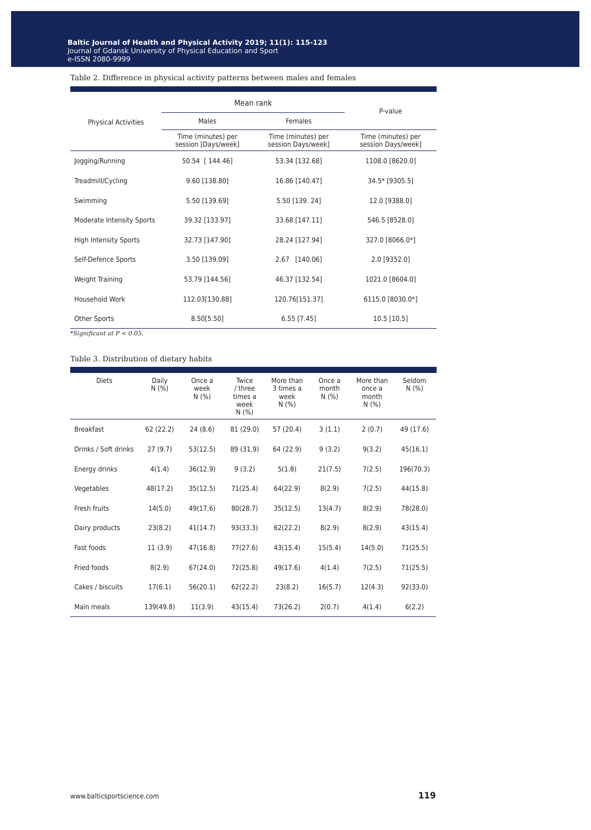#### Table 2. Difference in physical activity patterns between males and females

|                                  | Mean rank                                 | P-value                                  |                                          |  |
|----------------------------------|-------------------------------------------|------------------------------------------|------------------------------------------|--|
| <b>Physical Activities</b>       | Males                                     | Females                                  |                                          |  |
|                                  | Time (minutes) per<br>session [Days/week] | Time (minutes) per<br>session Days/week] | Time (minutes) per<br>session Days/week] |  |
| Jogging/Running                  | 50.54 [ 144.46]                           | 53.34 [132.68]                           | 1108.0 [8620.0]                          |  |
| Treadmill/Cycling                | 9.60 [138.80]                             | 16.86 [140.47]                           | 34.5* [9305.5]                           |  |
| Swimming                         | 5.50 [139.69]                             | 5.50 [139. 24]                           | 12.0 [9388.0]                            |  |
| <b>Moderate Intensity Sports</b> | 39.32 [133.97]                            | 33.68 [147.11]                           | 546.5 [8528.0]                           |  |
| <b>High Intensity Sports</b>     | 32.73 [147.90]                            | 28.24 [127.94]                           | 327.0 [8066.0*]                          |  |
| Self-Defence Sports              | 3.50 [139.09]                             | 2.67 [140.06]                            | 2.0 [9352.0]                             |  |
| Weight Training                  | 53.79 [144.56]                            | 46.37 [132.54]                           | 1021.0 [8604.0]                          |  |
| Household Work                   | 112.03[130.88]                            | 120.76[151.37]                           | 6115.0 [8030.0*]                         |  |
| Other Sports                     | 8.50[5.50]                                | $6.55$ [7.45]                            | 10.5 [10.5]                              |  |

*\*Significant at P < 0.05.*

#### Table 3. Distribution of dietary habits

| <b>Diets</b>         | Daily<br>N(% ) | Once a<br>week<br>N(% ) | Twice<br>/ three<br>times a<br>week<br>N(% ) | More than<br>3 times a<br>week<br>N(% ) | Once a<br>month<br>N(% ) | More than<br>once a<br>month<br>N(% ) | Seldom<br>N(% ) |
|----------------------|----------------|-------------------------|----------------------------------------------|-----------------------------------------|--------------------------|---------------------------------------|-----------------|
| <b>Breakfast</b>     | 62 (22.2)      | 24(8.6)                 | 81 (29.0)                                    | 57 (20.4)                               | 3(1.1)                   | 2(0.7)                                | 49 (17.6)       |
| Drinks / Soft drinks | 27(9.7)        | 53(12.5)                | 89 (31.9)                                    | 64 (22.9)                               | 9(3.2)                   | 9(3.2)                                | 45(16.1)        |
| Energy drinks        | 4(1.4)         | 36(12.9)                | 9(3.2)                                       | 5(1.8)                                  | 21(7.5)                  | 7(2.5)                                | 196(70.3)       |
| Vegetables           | 48(17.2)       | 35(12.5)                | 71(25.4)                                     | 64(22.9)                                | 8(2.9)                   | 7(2.5)                                | 44(15.8)        |
| Fresh fruits         | 14(5.0)        | 49(17.6)                | 80(28.7)                                     | 35(12.5)                                | 13(4.7)                  | 8(2.9)                                | 78(28.0)        |
| Dairy products       | 23(8.2)        | 41(14.7)                | 93(33.3)                                     | 62(22.2)                                | 8(2.9)                   | 8(2.9)                                | 43(15.4)        |
| Fast foods           | 11(3.9)        | 47(16.8)                | 77(27.6)                                     | 43(15.4)                                | 15(5.4)                  | 14(5.0)                               | 71(25.5)        |
| Fried foods          | 8(2.9)         | 67(24.0)                | 72(25.8)                                     | 49(17.6)                                | 4(1.4)                   | 7(2.5)                                | 71(25.5)        |
| Cakes / biscuits     | 17(6.1)        | 56(20.1)                | 62(22.2)                                     | 23(8.2)                                 | 16(5.7)                  | 12(4.3)                               | 92(33.0)        |
| Main meals           | 139(49.8)      | 11(3.9)                 | 43(15.4)                                     | 73(26.2)                                | 2(0.7)                   | 4(1.4)                                | 6(2.2)          |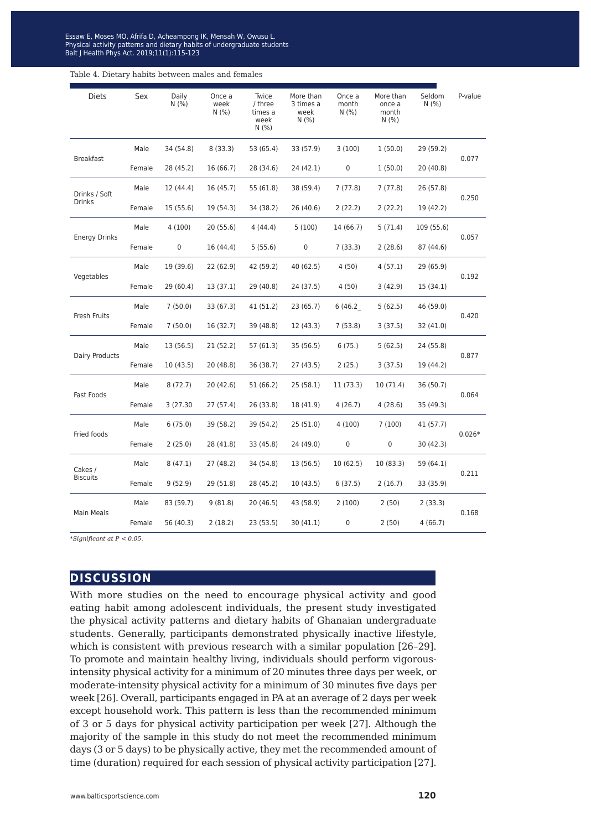Physical activity patterns and dietary habits of undergraduate students Blood Kennedy Palance and Society matrix of submaring submatrix exercises...<br>Nt I Health Phys Act, 2019:11(1):115-123 Balt J Health Phys Act. 2019;11(1):115-123 Essaw E, Moses MO, Afrifa D, Acheampong IK, Mensah W, Owusu L.

| <b>Diets</b>                   | Sex    | Daily<br>N(% ) | Once a<br>week<br>N(% ) | Twice<br>/ three<br>times a<br>week<br>N(% ) | More than<br>3 times a<br>week<br>N(%) | Once a<br>month<br>N(% ) | More than<br>once a<br>month<br>N(% ) | Seldom<br>N(% ) | P-value  |
|--------------------------------|--------|----------------|-------------------------|----------------------------------------------|----------------------------------------|--------------------------|---------------------------------------|-----------------|----------|
| <b>Breakfast</b>               | Male   | 34 (54.8)      | 8(33.3)                 | 53 (65.4)                                    | 33 (57.9)                              | 3(100)                   | 1(50.0)                               | 29 (59.2)       | 0.077    |
|                                | Female | 28 (45.2)      | 16 (66.7)               | 28 (34.6)                                    | 24 (42.1)                              | 0                        | 1(50.0)                               | 20 (40.8)       |          |
| Drinks / Soft<br><b>Drinks</b> | Male   | 12 (44.4)      | 16 (45.7)               | 55 (61.8)                                    | 38 (59.4)                              | 7(77.8)                  | 7 (77.8)                              | 26 (57.8)       | 0.250    |
|                                | Female | 15 (55.6)      | 19 (54.3)               | 34 (38.2)                                    | 26 (40.6)                              | 2(22.2)                  | 2(22.2)                               | 19 (42.2)       |          |
| <b>Energy Drinks</b>           | Male   | 4 (100)        | 20 (55.6)               | 4(44.4)                                      | 5(100)                                 | 14 (66.7)                | 5(71.4)                               | 109 (55.6)      |          |
|                                | Female | 0              | 16 (44.4)               | 5(55.6)                                      | $\mathbf 0$                            | 7(33.3)                  | 2(28.6)                               | 87 (44.6)       | 0.057    |
| Vegetables                     | Male   | 19 (39.6)      | 22(62.9)                | 42 (59.2)                                    | 40 (62.5)                              | 4(50)                    | 4(57.1)                               | 29 (65.9)       | 0.192    |
|                                | Female | 29 (60.4)      | 13(37.1)                | 29 (40.8)                                    | 24 (37.5)                              | 4(50)                    | 3(42.9)                               | 15(34.1)        |          |
|                                | Male   | 7(50.0)        | 33 (67.3)               | 41 (51.2)                                    | 23 (65.7)                              | 6 (46.2                  | 5(62.5)                               | 46 (59.0)       | 0.420    |
| Fresh Fruits                   | Female | 7(50.0)        | 16 (32.7)               | 39 (48.8)                                    | 12 (43.3)                              | 7(53.8)                  | 3(37.5)                               | 32 (41.0)       |          |
|                                | Male   | 13 (56.5)      | 21 (52.2)               | 57 (61.3)                                    | 35 (56.5)                              | 6(75.)                   | 5(62.5)                               | 24 (55.8)       | 0.877    |
| Dairy Products                 | Female | 10 (43.5)      | 20 (48.8)               | 36 (38.7)                                    | 27 (43.5)                              | 2 (25.)                  | 3(37.5)                               | 19 (44.2)       |          |
|                                | Male   | 8(72.7)        | 20 (42.6)               | 51 (66.2)                                    | 25(58.1)                               | 11 (73.3)                | 10(71.4)                              | 36 (50.7)       | 0.064    |
| Fast Foods                     | Female | 3 (27.30)      | 27 (57.4)               | 26 (33.8)                                    | 18 (41.9)                              | 4(26.7)                  | 4(28.6)                               | 35 (49.3)       |          |
| Fried foods                    | Male   | 6(75.0)        | 39 (58.2)               | 39 (54.2)                                    | 25 (51.0)                              | 4 (100)                  | 7(100)                                | 41 (57.7)       | $0.026*$ |
|                                | Female | 2(25.0)        | 28 (41.8)               | 33 (45.8)                                    | 24 (49.0)                              | $\pmb{0}$                | 0                                     | 30 (42.3)       |          |
| Cakes /<br><b>Biscuits</b>     | Male   | 8(47.1)        | 27 (48.2)               | 34 (54.8)                                    | 13 (56.5)                              | 10(62.5)                 | 10(83.3)                              | 59 (64.1)       | 0.211    |
|                                | Female | 9(52.9)        | 29 (51.8)               | 28 (45.2)                                    | 10 (43.5)                              | 6(37.5)                  | 2(16.7)                               | 33 (35.9)       |          |
| <b>Main Meals</b>              | Male   | 83 (59.7)      | 9(81.8)                 | 20 (46.5)                                    | 43 (58.9)                              | 2(100)                   | 2(50)                                 | 2(33.3)         |          |
|                                | Female | 56 (40.3)      | 2(18.2)                 | 23(53.5)                                     | 30 (41.1)                              | 0                        | 2(50)                                 | 4(66.7)         | 0.168    |

*\*Significant at P < 0.05.*

### **discussion**

With more studies on the need to encourage physical activity and good eating habit among adolescent individuals, the present study investigated the physical activity patterns and dietary habits of Ghanaian undergraduate students. Generally, participants demonstrated physically inactive lifestyle, which is consistent with previous research with a similar population [26–29]. To promote and maintain healthy living, individuals should perform vigorousintensity physical activity for a minimum of 20 minutes three days per week, or moderate-intensity physical activity for a minimum of 30 minutes five days per week [26]. Overall, participants engaged in PA at an average of 2 days per week except household work. This pattern is less than the recommended minimum of 3 or 5 days for physical activity participation per week [27]. Although the majority of the sample in this study do not meet the recommended minimum days (3 or 5 days) to be physically active, they met the recommended amount of time (duration) required for each session of physical activity participation [27].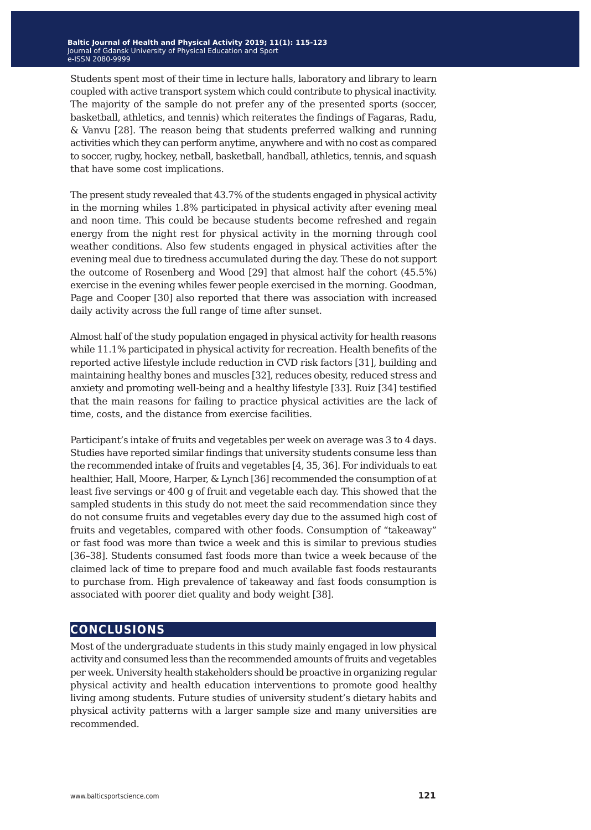Students spent most of their time in lecture halls, laboratory and library to learn coupled with active transport system which could contribute to physical inactivity. The majority of the sample do not prefer any of the presented sports (soccer, basketball, athletics, and tennis) which reiterates the findings of Fagaras, Radu, & Vanvu [28]. The reason being that students preferred walking and running activities which they can perform anytime, anywhere and with no cost as compared to soccer, rugby, hockey, netball, basketball, handball, athletics, tennis, and squash that have some cost implications.

The present study revealed that 43.7% of the students engaged in physical activity in the morning whiles 1.8% participated in physical activity after evening meal and noon time. This could be because students become refreshed and regain energy from the night rest for physical activity in the morning through cool weather conditions. Also few students engaged in physical activities after the evening meal due to tiredness accumulated during the day. These do not support the outcome of Rosenberg and Wood [29] that almost half the cohort (45.5%) exercise in the evening whiles fewer people exercised in the morning. Goodman, Page and Cooper [30] also reported that there was association with increased daily activity across the full range of time after sunset.

Almost half of the study population engaged in physical activity for health reasons while 11.1% participated in physical activity for recreation. Health benefits of the reported active lifestyle include reduction in CVD risk factors [31], building and maintaining healthy bones and muscles [32], reduces obesity, reduced stress and anxiety and promoting well-being and a healthy lifestyle [33]. Ruiz [34] testified that the main reasons for failing to practice physical activities are the lack of time, costs, and the distance from exercise facilities.

Participant's intake of fruits and vegetables per week on average was 3 to 4 days. Studies have reported similar findings that university students consume less than the recommended intake of fruits and vegetables [4, 35, 36]. For individuals to eat healthier, Hall, Moore, Harper, & Lynch [36] recommended the consumption of at least five servings or 400 g of fruit and vegetable each day. This showed that the sampled students in this study do not meet the said recommendation since they do not consume fruits and vegetables every day due to the assumed high cost of fruits and vegetables, compared with other foods. Consumption of "takeaway" or fast food was more than twice a week and this is similar to previous studies [36–38]. Students consumed fast foods more than twice a week because of the claimed lack of time to prepare food and much available fast foods restaurants to purchase from. High prevalence of takeaway and fast foods consumption is associated with poorer diet quality and body weight [38].

## **conclusions**

Most of the undergraduate students in this study mainly engaged in low physical activity and consumed less than the recommended amounts of fruits and vegetables per week. University health stakeholders should be proactive in organizing regular physical activity and health education interventions to promote good healthy living among students. Future studies of university student's dietary habits and physical activity patterns with a larger sample size and many universities are recommended.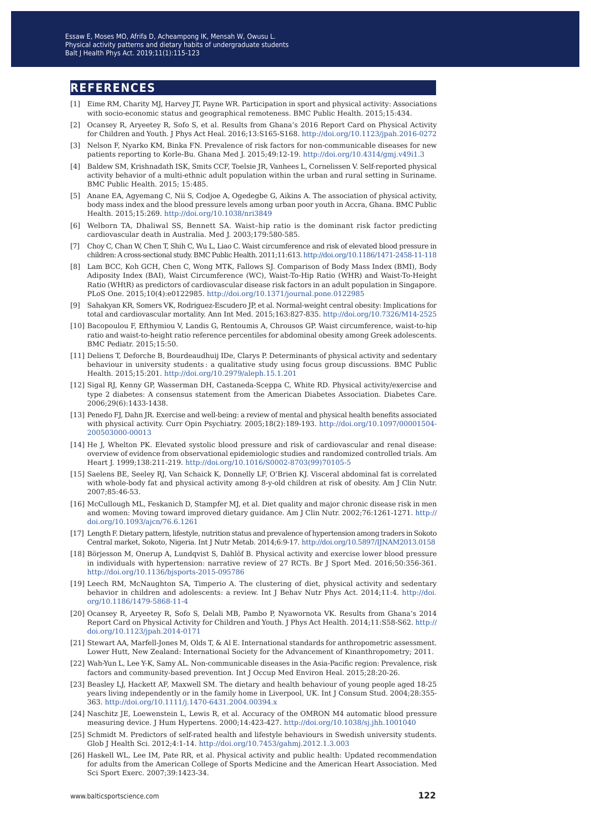#### **references**

- [1] Eime RM, Charity MJ, Harvey JT, Payne WR. Participation in sport and physical activity: Associations with socio-economic status and geographical remoteness. BMC Public Health. 2015;15:434.
- [2] Ocansey R, Aryeetey R, Sofo S, et al. Results from Ghana's 2016 Report Card on Physical Activity for Children and Youth. J Phys Act Heal. 2016;13:S165-S168.<http://doi.org/10.1123/jpah.2016-0272>
- [3] Nelson F, Nyarko KM, Binka FN. Prevalence of risk factors for non-communicable diseases for new patients reporting to Korle-Bu. Ghana Med J. 2015;49:12-19.<http://doi.org/10.4314/gmj.v49i1.3>
- [4] Baldew SM, Krishnadath ISK, Smits CCF, Toelsie JR, Vanhees L, Cornelissen V. Self-reported physical activity behavior of a multi-ethnic adult population within the urban and rural setting in Suriname. BMC Public Health. 2015; 15:485.
- [5] Anane EA, Agyemang C, Nii S, Codjoe A, Ogedegbe G, Aikins A. The association of physical activity, body mass index and the blood pressure levels among urban poor youth in Accra, Ghana. BMC Public Health. 2015;15:269. <http://doi.org/10.1038/nri3849>
- [6] Welborn TA, Dhaliwal SS, Bennett SA. Waist–hip ratio is the dominant risk factor predicting cardiovascular death in Australia. Med J. 2003;179:580-585.
- [7] Choy C, Chan W, Chen T, Shih C, Wu L, Liao C. Waist circumference and risk of elevated blood pressure in children: A cross-sectional study. BMC Public Health. 2011;11:613.<http://doi.org/10.1186/1471-2458-11-118>
- [8] Lam BCC, Koh GCH, Chen C, Wong MTK, Fallows SJ. Comparison of Body Mass Index (BMI), Body Adiposity Index (BAI), Waist Circumference (WC), Waist-To-Hip Ratio (WHR) and Waist-To-Height Ratio (WHtR) as predictors of cardiovascular disease risk factors in an adult population in Singapore. PLoS One. 2015;10(4):e0122985.<http://doi.org/10.1371/journal.pone.0122985>
- [9] Sahakyan KR, Somers VK, Rodriguez-Escudero JP, et al. Normal-weight central obesity: Implications for total and cardiovascular mortality. Ann Int Med. 2015;163:827-835.<http://doi.org/10.7326/M14-2525>
- [10] Bacopoulou F, Efthymiou V, Landis G, Rentoumis A, Chrousos GP. Waist circumference, waist-to-hip ratio and waist-to-height ratio reference percentiles for abdominal obesity among Greek adolescents. BMC Pediatr. 2015;15:50.
- [11] Deliens T, Deforche B, Bourdeaudhuij IDe, Clarys P. Determinants of physical activity and sedentary behaviour in university students : a qualitative study using focus group discussions. BMC Public Health. 2015;15:201. <http://doi.org/10.2979/aleph.15.1.201>
- [12] Sigal RJ, Kenny GP, Wasserman DH, Castaneda-Sceppa C, White RD. Physical activity/exercise and type 2 diabetes: A consensus statement from the American Diabetes Association. Diabetes Care. 2006;29(6):1433-1438.
- [13] Penedo FJ, Dahn JR. Exercise and well-being: a review of mental and physical health benefits associated with physical activity. Curr Opin Psychiatry. 2005;18(2):189-193. [http://doi.org/10.1097/00001504-](http://doi.org/10.1097/00001504-200503000-00013) [200503000-00013](http://doi.org/10.1097/00001504-200503000-00013)
- [14] He J, Whelton PK. Elevated systolic blood pressure and risk of cardiovascular and renal disease: overview of evidence from observational epidemiologic studies and randomized controlled trials. Am Heart J. 1999;138:211-219. [http://doi.org/10.1016/S0002-8703\(99\)70105-5](http://doi.org/10.1016/S0002-8703(99)70105-5)
- [15] Saelens BE, Seeley RJ, Van Schaick K, Donnelly LF, O'Brien KJ. Visceral abdominal fat is correlated with whole-body fat and physical activity among 8-y-old children at risk of obesity. Am J Clin Nutr. 2007;85:46-53.
- [16] McCullough ML, Feskanich D, Stampfer MJ, et al. Diet quality and major chronic disease risk in men and women: Moving toward improved dietary guidance. Am J Clin Nutr. 2002;76:1261-1271. [http://](http://doi.org/10.1093/ajcn/76.6.1261) [doi.org/10.1093/ajcn/76.6.1261](http://doi.org/10.1093/ajcn/76.6.1261)
- [17] Length F. Dietary pattern, lifestyle, nutrition status and prevalence of hypertension among traders in Sokoto Central market, Sokoto, Nigeria. Int J Nutr Metab. 2014;6:9-17.<http://doi.org/10.5897/IJNAM2013.0158>
- [18] Börjesson M, Onerup A, Lundqvist S, Dahlöf B. Physical activity and exercise lower blood pressure in individuals with hypertension: narrative review of 27 RCTs. Br J Sport Med. 2016;50:356-361. <http://doi.org/10.1136/bjsports-2015-095786>
- [19] Leech RM, McNaughton SA, Timperio A. The clustering of diet, physical activity and sedentary behavior in children and adolescents: a review. Int J Behav Nutr Phys Act. 2014;11:4. [http://doi.](http://doi.org/10.1186/1479-5868-11-4) [org/10.1186/1479-5868-11-4](http://doi.org/10.1186/1479-5868-11-4)
- [20] Ocansey R, Aryeetey R, Sofo S, Delali MB, Pambo P, Nyawornota VK. Results from Ghana's 2014 Report Card on Physical Activity for Children and Youth. J Phys Act Health. 2014;11:S58-S62. [http://](http://doi.org/10.1123/jpah.2014-0171) [doi.org/10.1123/jpah.2014-0171](http://doi.org/10.1123/jpah.2014-0171)
- [21] Stewart AA, Marfell-Jones M, Olds T, & Al E. International standards for anthropometric assessment. Lower Hutt, New Zealand: International Society for the Advancement of Kinanthropometry; 2011.
- [22] Wah-Yun L, Lee Y-K, Samy AL. Non-communicable diseases in the Asia-Pacific region: Prevalence, risk factors and community-based prevention. Int J Occup Med Environ Heal. 2015;28:20-26.
- [23] Beasley LJ, Hackett AF, Maxwell SM. The dietary and health behaviour of young people aged 18-25 years living independently or in the family home in Liverpool, UK. Int J Consum Stud. 2004;28:355- 363. [http://doi.org/10.1111/j.1470-6431.2004.00394.x](v)
- [24] Naschitz JE, Loewenstein L, Lewis R, et al. Accuracy of the OMRON M4 automatic blood pressure measuring device. J Hum Hypertens. 2000;14:423-427.<http://doi.org/10.1038/sj.jhh.1001040>
- [25] Schmidt M. Predictors of self-rated health and lifestyle behaviours in Swedish university students. Glob J Health Sci. 2012;4:1-14.<http://doi.org/10.7453/gahmj.2012.1.3.003>
- [26] Haskell WL, Lee IM, Pate RR, et al. Physical activity and public health: Updated recommendation for adults from the American College of Sports Medicine and the American Heart Association. Med Sci Sport Exerc. 2007;39:1423-34.